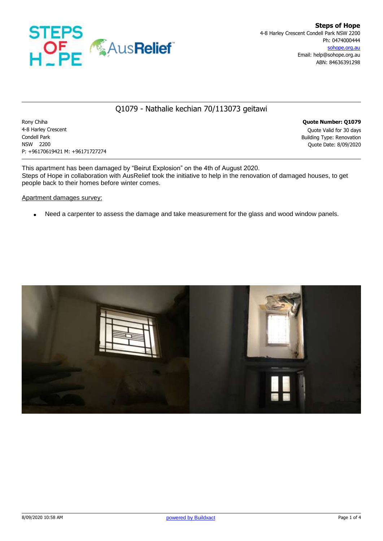

# Q1079 - Nathalie kechian 70/113073 geitawi

Rony Chiha **Quote Number: Q1079** 4-8 Harley Crescent Quote Valid for 30 days Condell Park Building Type: Renovation NSW 2200 Quote Date: 8/09/2020 P: +96170619421 M: +96171727274

This apartment has been damaged by "Beirut Explosion" on the 4th of August 2020. Steps of Hope in collaboration with AusRelief took the initiative to help in the renovation of damaged houses, to get people back to their homes before winter comes.

#### Apartment damages survey:

Need a carpenter to assess the damage and take measurement for the glass and wood window panels.

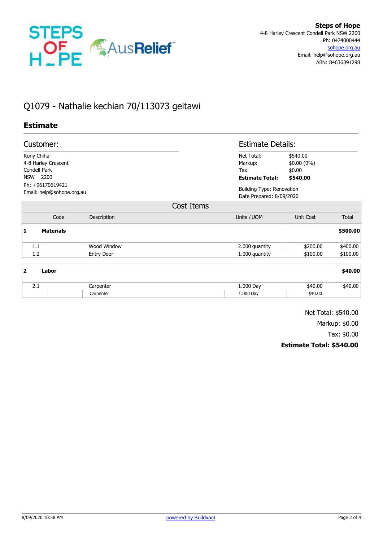

# Q1079 - Nathalie kechian 70/113073 geitawi

### **Estimate**

| Customer:                                                                                                  |                  |                   |            | <b>Estimate Details:</b>                                     |                                    |          |
|------------------------------------------------------------------------------------------------------------|------------------|-------------------|------------|--------------------------------------------------------------|------------------------------------|----------|
| Rony Chiha                                                                                                 |                  |                   |            | Net Total:                                                   | \$540.00                           |          |
| 4-8 Harley Crescent<br>Condell Park<br>2200<br><b>NSW</b><br>Ph: +96170619421<br>Email: help@sohope.org.au |                  |                   |            | Markup:<br>Tax:<br><b>Estimate Total:</b>                    | $$0.00(0\%)$<br>\$0.00<br>\$540.00 |          |
|                                                                                                            |                  |                   |            |                                                              |                                    |          |
|                                                                                                            |                  |                   |            |                                                              |                                    |          |
|                                                                                                            |                  |                   |            | <b>Building Type: Renovation</b><br>Date Prepared: 8/09/2020 |                                    |          |
|                                                                                                            |                  |                   | Cost Items |                                                              |                                    |          |
|                                                                                                            | Code             | Description       |            | Units / UOM                                                  | <b>Unit Cost</b>                   | Total    |
| 1                                                                                                          | <b>Materials</b> |                   |            |                                                              |                                    | \$500.00 |
| 1.1                                                                                                        |                  | Wood Window       |            | 2.000 quantity                                               | \$200.00                           | \$400.00 |
| 1.2                                                                                                        |                  | <b>Entry Door</b> |            | 1.000 quantity                                               | \$100.00                           | \$100.00 |
| $\overline{\mathbf{2}}$<br>Labor                                                                           |                  |                   |            |                                                              |                                    | \$40.00  |

| $\sim$ | .arpenter | 000 Day    | .00     | ΩΩ<br>- 71<br>. U |
|--------|-----------|------------|---------|-------------------|
|        | arpenter  | nnn<br>Dav | 40.00\$ |                   |

Net Total: \$540.00

Markup: \$0.00

Tax: \$0.00

#### **Estimate Total: \$540.00**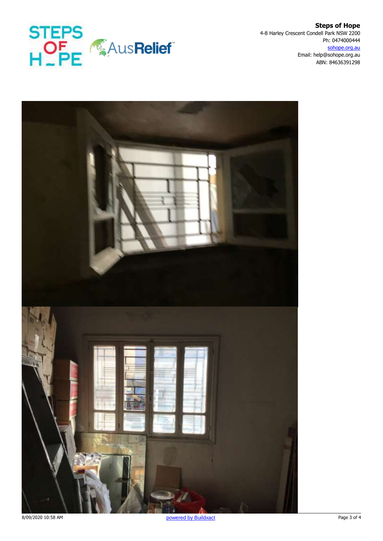

**Steps of Hope** 4-8 Harley Crescent Condell Park NSW 2200 Ph: 0474000444 sohope.org.au Email: help@sohope.org.au ABN: 84636391298



8/09/2020 10:58 AM Page 3 of 4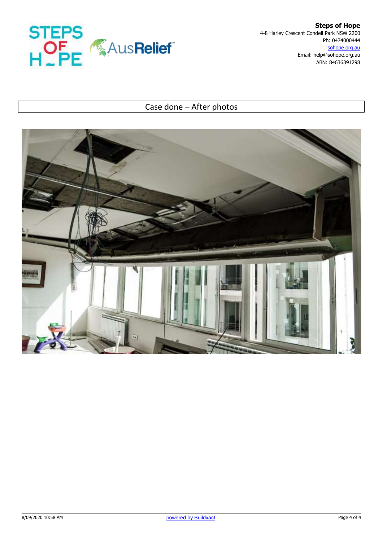

**Steps of Hope** 4-8 Harley Crescent Condell Park NSW 2200 Ph: 0474000444 sohope.org.au Email: help@sohope.org.au ABN: 84636391298

# Case done – After photos